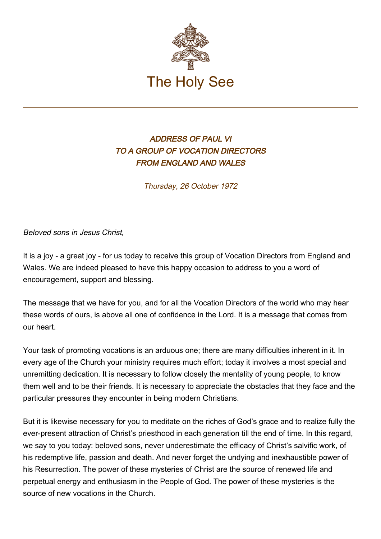

## ADDRESS OF PAUL VI TO A GROUP OF VOCATION DIRECTORS FROM ENGLAND AND WALES

Thursday, 26 October 1972

Beloved sons in Jesus Christ,

It is a joy - a great joy - for us today to receive this group of Vocation Directors from England and Wales. We are indeed pleased to have this happy occasion to address to you a word of encouragement, support and blessing.

The message that we have for you, and for all the Vocation Directors of the world who may hear these words of ours, is above all one of confidence in the Lord. It is a message that comes from our heart.

Your task of promoting vocations is an arduous one; there are many difficulties inherent in it. In every age of the Church your ministry requires much effort; today it involves a most special and unremitting dedication. It is necessary to follow closely the mentality of young people, to know them well and to be their friends. It is necessary to appreciate the obstacles that they face and the particular pressures they encounter in being modern Christians.

But it is likewise necessary for you to meditate on the riches of God's grace and to realize fully the ever-present attraction of Christ's priesthood in each generation till the end of time. In this regard, we say to you today: beloved sons, never underestimate the efficacy of Christ's salvific work, of his redemptive life, passion and death. And never forget the undying and inexhaustible power of his Resurrection. The power of these mysteries of Christ are the source of renewed life and perpetual energy and enthusiasm in the People of God. The power of these mysteries is the source of new vocations in the Church.